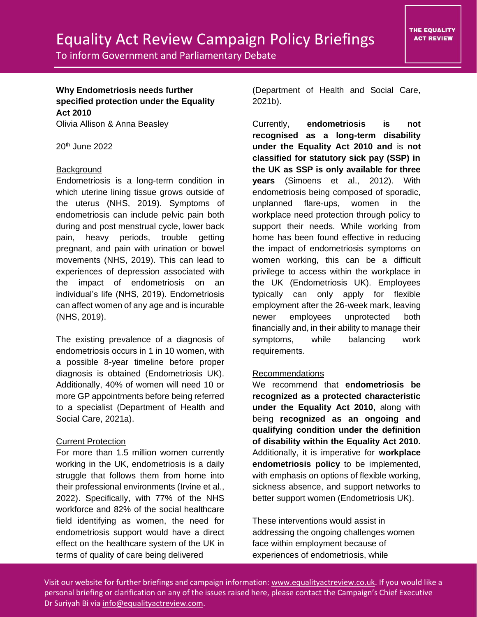# Equality Act Review Campaign Policy Briefings

## **Why Endometriosis needs further specified protection under the Equality Act 2010**

Olivia Allison & Anna Beasley

 $20<sup>th</sup>$  June 2022

### **Background**

Endometriosis is a long-term condition in which uterine lining tissue grows outside of the uterus (NHS, 2019). Symptoms of endometriosis can include pelvic pain both during and post menstrual cycle, lower back pain, heavy periods, trouble getting pregnant, and pain with urination or bowel movements (NHS, 2019). This can lead to experiences of depression associated with the impact of endometriosis on an individual's life (NHS, 2019). Endometriosis can affect women of any age and is incurable (NHS, 2019).

The existing prevalence of a diagnosis of endometriosis occurs in 1 in 10 women, with a possible 8-year timeline before proper diagnosis is obtained (Endometriosis UK). Additionally, 40% of women will need 10 or more GP appointments before being referred to a specialist (Department of Health and Social Care, 2021a).

### Current Protection

For more than 1.5 million women currently working in the UK, endometriosis is a daily struggle that follows them from home into their professional environments (Irvine et al., 2022). Specifically, with 77% of the NHS workforce and 82% of the social healthcare field identifying as women, the need for endometriosis support would have a direct effect on the healthcare system of the UK in terms of quality of care being delivered

(Department of Health and Social Care, 2021b).

Currently, **endometriosis is not recognised as a long-term disability under the Equality Act 2010 and** is **not classified for statutory sick pay (SSP) in the UK as SSP is only available for three years** (Simoens et al., 2012). With endometriosis being composed of sporadic, unplanned flare-ups, women in the workplace need protection through policy to support their needs. While working from home has been found effective in reducing the impact of endometriosis symptoms on women working, this can be a difficult privilege to access within the workplace in the UK (Endometriosis UK). Employees typically can only apply for flexible employment after the 26-week mark, leaving newer employees unprotected both financially and, in their ability to manage their symptoms, while balancing work requirements.

### Recommendations

We recommend that **endometriosis be recognized as a protected characteristic under the Equality Act 2010,** along with being **recognized as an ongoing and qualifying condition under the definition of disability within the Equality Act 2010.**  Additionally, it is imperative for **workplace endometriosis policy** to be implemented, with emphasis on options of flexible working, sickness absence, and support networks to better support women (Endometriosis UK).

These interventions would assist in addressing the ongoing challenges women face within employment because of experiences of endometriosis, while

Visit our website for further briefings and campaign information: [www.equalityactreview.co.uk.](http://www.equalityactreview.co.uk/) If you would like a personal briefing or clarification on any of the issues raised here, please contact the Campaign's Chief Executive Dr Suriyah Bi via [info@equalityactreview.com.](mailto:info@equalityactreview.com)